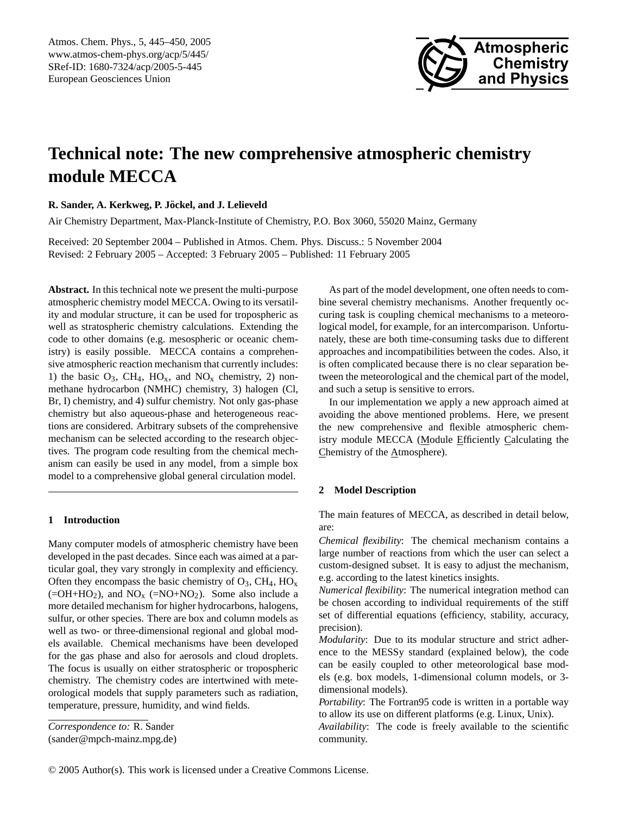

# **Technical note: The new comprehensive atmospheric chemistry module MECCA**

## **R. Sander, A. Kerkweg, P. Jockel, and J. Lelieveld ¨**

Air Chemistry Department, Max-Planck-Institute of Chemistry, P.O. Box 3060, 55020 Mainz, Germany

Received: 20 September 2004 – Published in Atmos. Chem. Phys. Discuss.: 5 November 2004 Revised: 2 February 2005 – Accepted: 3 February 2005 – Published: 11 February 2005

**Abstract.** In this technical note we present the multi-purpose atmospheric chemistry model MECCA. Owing to its versatility and modular structure, it can be used for tropospheric as well as stratospheric chemistry calculations. Extending the code to other domains (e.g. mesospheric or oceanic chemistry) is easily possible. MECCA contains a comprehensive atmospheric reaction mechanism that currently includes: 1) the basic  $O_3$ , CH<sub>4</sub>, HO<sub>x</sub>, and NO<sub>x</sub> chemistry, 2) nonmethane hydrocarbon (NMHC) chemistry, 3) halogen (Cl, Br, I) chemistry, and 4) sulfur chemistry. Not only gas-phase chemistry but also aqueous-phase and heterogeneous reactions are considered. Arbitrary subsets of the comprehensive mechanism can be selected according to the research objectives. The program code resulting from the chemical mechanism can easily be used in any model, from a simple box model to a comprehensive global general circulation model.

## **1 Introduction**

Many computer models of atmospheric chemistry have been developed in the past decades. Since each was aimed at a particular goal, they vary strongly in complexity and efficiency. Often they encompass the basic chemistry of  $O_3$ , CH<sub>4</sub>, HO<sub>x</sub>  $(=\text{OH}+\text{HO}_2)$ , and NO<sub>x</sub>  $(=\text{NO}+\text{NO}_2)$ . Some also include a more detailed mechanism for higher hydrocarbons, halogens, sulfur, or other species. There are box and column models as well as two- or three-dimensional regional and global models available. Chemical mechanisms have been developed for the gas phase and also for aerosols and cloud droplets. The focus is usually on either stratospheric or tropospheric chemistry. The chemistry codes are intertwined with meteorological models that supply parameters such as radiation, temperature, pressure, humidity, and wind fields.

<span id="page-0-0"></span>*Correspondence to:* R. Sander (sander@mpch-mainz.mpg.de)

As part of the model development, one often needs to combine several chemistry mechanisms. Another frequently occuring task is coupling chemical mechanisms to a meteorological model, for example, for an intercomparison. Unfortunately, these are both time-consuming tasks due to different approaches and incompatibilities between the codes. Also, it is often complicated because there is no clear separation between the meteorological and the chemical part of the model, and such a setup is sensitive to errors.

In our implementation we apply a new approach aimed at avoiding the above mentioned problems. Here, we present the new comprehensive and flexible atmospheric chemistry module MECCA (Module Efficiently Calculating the Chemistry of the Atmosphere).

### **2 Model Description**

The main features of MECCA, as described in detail below, are:

*Chemical flexibility*: The chemical mechanism contains a large number of reactions from which the user can select a custom-designed subset. It is easy to adjust the mechanism, e.g. according to the latest kinetics insights.

*Numerical flexibility*: The numerical integration method can be chosen according to individual requirements of the stiff set of differential equations (efficiency, stability, accuracy, precision).

*Modularity*: Due to its modular structure and strict adherence to the MESSy standard (explained below), the code can be easily coupled to other meteorological base models (e.g. box models, 1-dimensional column models, or 3 dimensional models).

*Portability*: The Fortran95 code is written in a portable way to allow its use on different platforms (e.g. Linux, Unix).

*Availability*: The code is freely available to the scientific community.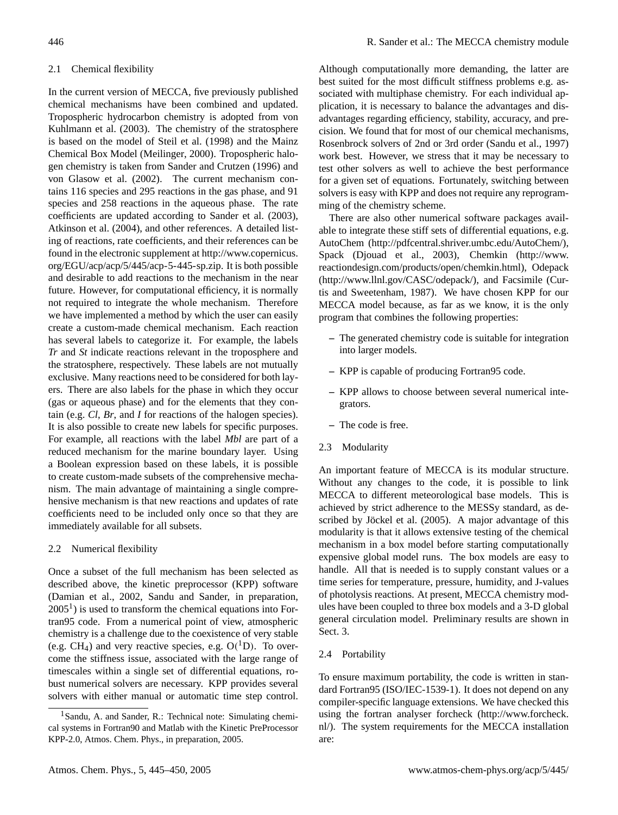### 2.1 Chemical flexibility

In the current version of MECCA, five previously published chemical mechanisms have been combined and updated. Tropospheric hydrocarbon chemistry is adopted from [von](#page-5-0) [Kuhlmann et al.](#page-5-0) [\(2003\)](#page-5-0). The chemistry of the stratosphere is based on the model of [Steil et al.](#page-5-1) [\(1998\)](#page-5-1) and the Mainz Chemical Box Model [\(Meilinger,](#page-4-0) [2000\)](#page-4-0). Tropospheric halogen chemistry is taken from [Sander and Crutzen](#page-4-1) [\(1996\)](#page-4-1) and [von Glasow et al.](#page-5-2) [\(2002\)](#page-5-2). The current mechanism contains 116 species and 295 reactions in the gas phase, and 91 species and 258 reactions in the aqueous phase. The rate coefficients are updated according to [Sander et al.](#page-4-2) [\(2003\)](#page-4-2), [Atkinson et al.](#page-4-3) [\(2004\)](#page-4-3), and other references. A detailed listing of reactions, rate coefficients, and their references can be found in the electronic supplement at [http://www.copernicus.](http://www.copernicus.org/EGU/acp/acp/5/445/acp-5-445-sp.zip) [org/EGU/acp/acp/5/445/acp-5-445-sp.zip.](http://www.copernicus.org/EGU/acp/acp/5/445/acp-5-445-sp.zip) It is both possible and desirable to add reactions to the mechanism in the near future. However, for computational efficiency, it is normally not required to integrate the whole mechanism. Therefore we have implemented a method by which the user can easily create a custom-made chemical mechanism. Each reaction has several labels to categorize it. For example, the labels *Tr* and *St* indicate reactions relevant in the troposphere and the stratosphere, respectively. These labels are not mutually exclusive. Many reactions need to be considered for both layers. There are also labels for the phase in which they occur (gas or aqueous phase) and for the elements that they contain (e.g. *Cl*, *Br*, and *I* for reactions of the halogen species). It is also possible to create new labels for specific purposes. For example, all reactions with the label *Mbl* are part of a reduced mechanism for the marine boundary layer. Using a Boolean expression based on these labels, it is possible to create custom-made subsets of the comprehensive mechanism. The main advantage of maintaining a single comprehensive mechanism is that new reactions and updates of rate coefficients need to be included only once so that they are immediately available for all subsets.

#### 2.2 Numerical flexibility

Once a subset of the full mechanism has been selected as described above, the kinetic preprocessor (KPP) software [\(Damian et al.,](#page-4-4) [2002,](#page-4-4) Sandu and Sander, in preparation,  $2005<sup>1</sup>$  $2005<sup>1</sup>$  $2005<sup>1</sup>$ ) is used to transform the chemical equations into Fortran95 code. From a numerical point of view, atmospheric chemistry is a challenge due to the coexistence of very stable (e.g. CH<sub>4</sub>) and very reactive species, e.g.  $O(^1D)$ . To overcome the stiffness issue, associated with the large range of timescales within a single set of differential equations, robust numerical solvers are necessary. KPP provides several solvers with either manual or automatic time step control.

Although computationally more demanding, the latter are best suited for the most difficult stiffness problems e.g. associated with multiphase chemistry. For each individual application, it is necessary to balance the advantages and disadvantages regarding efficiency, stability, accuracy, and precision. We found that for most of our chemical mechanisms, Rosenbrock solvers of 2nd or 3rd order [\(Sandu et al.,](#page-4-5) [1997\)](#page-4-5) work best. However, we stress that it may be necessary to test other solvers as well to achieve the best performance for a given set of equations. Fortunately, switching between solvers is easy with KPP and does not require any reprogramming of the chemistry scheme.

There are also other numerical software packages available to integrate these stiff sets of differential equations, e.g. AutoChem [\(http://pdfcentral.shriver.umbc.edu/AutoChem/\)](http://pdfcentral.shriver.umbc.edu/AutoChem/), Spack [\(Djouad et al.,](#page-4-6) [2003\)](#page-4-6), Chemkin [\(http://www.](http://www.reactiondesign.com/products/open/chemkin.html) [reactiondesign.com/products/open/chemkin.html\)](http://www.reactiondesign.com/products/open/chemkin.html), Odepack [\(http://www.llnl.gov/CASC/odepack/\)](http://www.llnl.gov/CASC/odepack/), and Facsimile [\(Cur](#page-4-7)[tis and Sweetenham,](#page-4-7) [1987\)](#page-4-7). We have chosen KPP for our MECCA model because, as far as we know, it is the only program that combines the following properties:

- **–** The generated chemistry code is suitable for integration into larger models.
- **–** KPP is capable of producing Fortran95 code.
- **–** KPP allows to choose between several numerical integrators.
- **–** The code is free.
- 2.3 Modularity

An important feature of MECCA is its modular structure. Without any changes to the code, it is possible to link MECCA to different meteorological base models. This is achieved by strict adherence to the MESSy standard, as de-scribed by Jöckel et al. [\(2005\)](#page-4-8). A major advantage of this modularity is that it allows extensive testing of the chemical mechanism in a box model before starting computationally expensive global model runs. The box models are easy to handle. All that is needed is to supply constant values or a time series for temperature, pressure, humidity, and J-values of photolysis reactions. At present, MECCA chemistry modules have been coupled to three box models and a 3-D global general circulation model. Preliminary results are shown in Sect. [3.](#page-3-0)

### 2.4 Portability

To ensure maximum portability, the code is written in standard Fortran95 (ISO/IEC-1539-1). It does not depend on any compiler-specific language extensions. We have checked this using the fortran analyser forcheck [\(http://www.forcheck.](http://www.forcheck.nl/) [nl/\)](http://www.forcheck.nl/). The system requirements for the MECCA installation are:

<span id="page-1-0"></span><sup>&</sup>lt;sup>1</sup> Sandu, A. and Sander, R.: Technical note: Simulating chemical systems in Fortran90 and Matlab with the Kinetic PreProcessor KPP-2.0, Atmos. Chem. Phys., in preparation, 2005.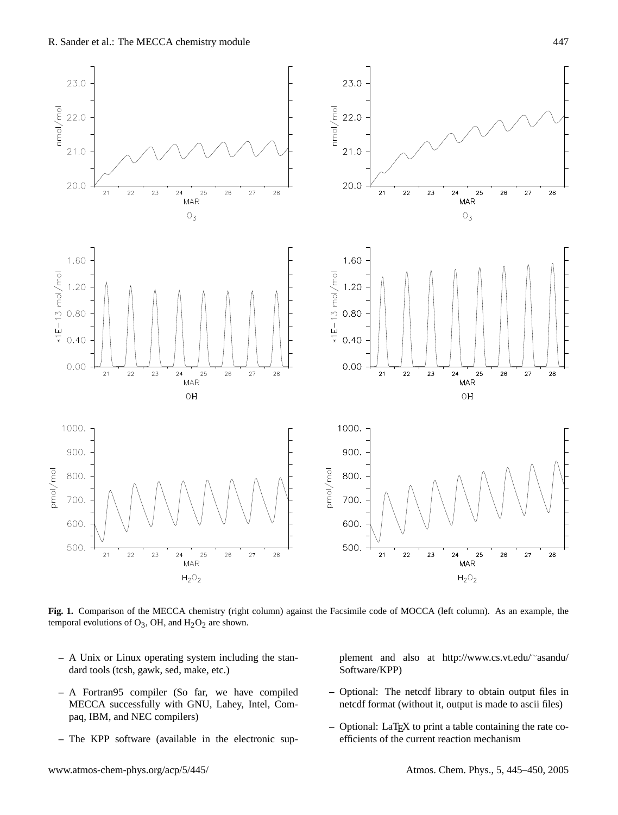

<span id="page-2-0"></span>**Fig. 1.** Comparison of the MECCA chemistry (right column) against the Facsimile code of MOCCA (left column). As an example, the temporal evolutions of  $O_3$ , OH, and  $H_2O_2$  are shown.

- **–** A Unix or Linux operating system including the standard tools (tcsh, gawk, sed, make, etc.)
- **–** A Fortran95 compiler (So far, we have compiled MECCA successfully with GNU, Lahey, Intel, Compaq, IBM, and NEC compilers)
- **–** The KPP software (available in the electronic sup-

plement and also at [http://www.cs.vt.edu/](http://www.cs.vt.edu/~asandu/Software/KPP)∼asandu/ [Software/KPP\)](http://www.cs.vt.edu/~asandu/Software/KPP)

- **–** Optional: The netcdf library to obtain output files in netcdf format (without it, output is made to ascii files)
- **–** Optional: LaTEX to print a table containing the rate coefficients of the current reaction mechanism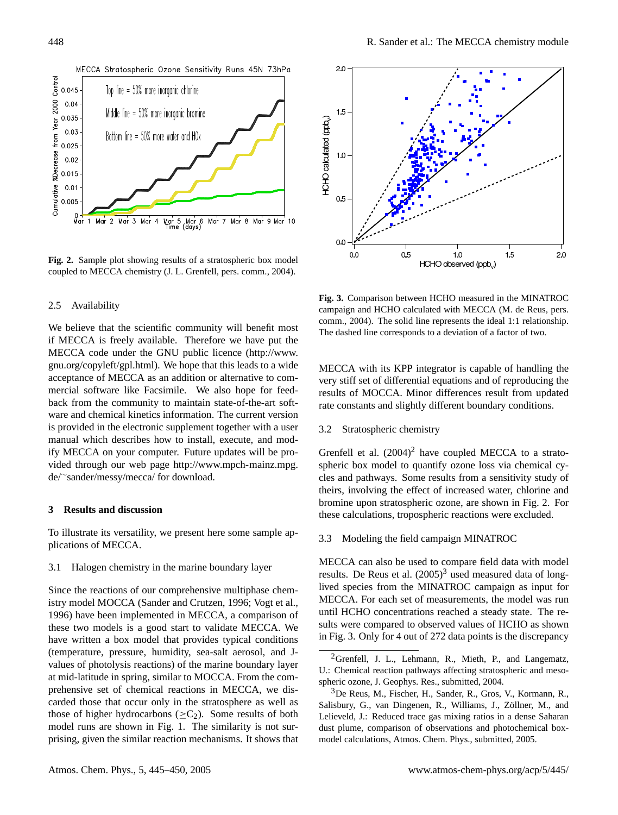

<span id="page-3-2"></span>**Fig. 2.** Sample plot showing results of a stratospheric box model coupled to MECCA chemistry (J. L. Grenfell, pers. comm., 2004).

#### 2.5 Availability

We believe that the scientific community will benefit most if MECCA is freely available. Therefore we have put the MECCA code under the GNU public licence [\(http://www.](http://www.gnu.org/copyleft/gpl.html) [gnu.org/copyleft/gpl.html\)](http://www.gnu.org/copyleft/gpl.html). We hope that this leads to a wide acceptance of MECCA as an addition or alternative to commercial software like Facsimile. We also hope for feedback from the community to maintain state-of-the-art software and chemical kinetics information. The current version is provided in the electronic supplement together with a user manual which describes how to install, execute, and modify MECCA on your computer. Future updates will be provided through our web page [http://www.mpch-mainz.mpg.](http://www.mpch-mainz.mpg.de/~sander/messy/mecca/) de/∼[sander/messy/mecca/](http://www.mpch-mainz.mpg.de/~sander/messy/mecca/) for download.

## <span id="page-3-0"></span>**3 Results and discussion**

To illustrate its versatility, we present here some sample applications of MECCA.

3.1 Halogen chemistry in the marine boundary layer

Since the reactions of our comprehensive multiphase chemistry model MOCCA [\(Sander and Crutzen,](#page-4-1) [1996;](#page-4-1) [Vogt et al.,](#page-5-3) [1996\)](#page-5-3) have been implemented in MECCA, a comparison of these two models is a good start to validate MECCA. We have written a box model that provides typical conditions (temperature, pressure, humidity, sea-salt aerosol, and Jvalues of photolysis reactions) of the marine boundary layer at mid-latitude in spring, similar to MOCCA. From the comprehensive set of chemical reactions in MECCA, we discarded those that occur only in the stratosphere as well as those of higher hydrocarbons  $(>C<sub>2</sub>)$ . Some results of both model runs are shown in Fig. [1.](#page-2-0) The similarity is not surprising, given the similar reaction mechanisms. It shows that



<span id="page-3-4"></span>**Fig. 3.** Comparison between HCHO measured in the MINATROC campaign and HCHO calculated with MECCA (M. de Reus, pers. comm., 2004). The solid line represents the ideal 1:1 relationship. The dashed line corresponds to a deviation of a factor of two.

MECCA with its KPP integrator is capable of handling the very stiff set of differential equations and of reproducing the results of MOCCA. Minor differences result from updated rate constants and slightly different boundary conditions.

3.2 Stratospheric chemistry

Grenfell et al.  $(2004)^2$  $(2004)^2$  $(2004)^2$  have coupled MECCA to a stratospheric box model to quantify ozone loss via chemical cycles and pathways. Some results from a sensitivity study of theirs, involving the effect of increased water, chlorine and bromine upon stratospheric ozone, are shown in Fig. [2.](#page-3-2) For these calculations, tropospheric reactions were excluded.

3.3 Modeling the field campaign MINATROC

MECCA can also be used to compare field data with model results. De Reus et al.  $(2005)^3$  $(2005)^3$  used measured data of longlived species from the MINATROC campaign as input for MECCA. For each set of measurements, the model was run until HCHO concentrations reached a steady state. The results were compared to observed values of HCHO as shown in Fig. [3.](#page-3-4) Only for 4 out of 272 data points is the discrepancy

<span id="page-3-1"></span><sup>&</sup>lt;sup>2</sup>Grenfell, J. L., Lehmann, R., Mieth, P., and Langematz, U.: Chemical reaction pathways affecting stratospheric and mesospheric ozone, J. Geophys. Res., submitted, 2004.

<span id="page-3-3"></span><sup>3</sup>De Reus, M., Fischer, H., Sander, R., Gros, V., Kormann, R., Salisbury, G., van Dingenen, R., Williams, J., Zöllner, M., and Lelieveld, J.: Reduced trace gas mixing ratios in a dense Saharan dust plume, comparison of observations and photochemical boxmodel calculations, Atmos. Chem. Phys., submitted, 2005.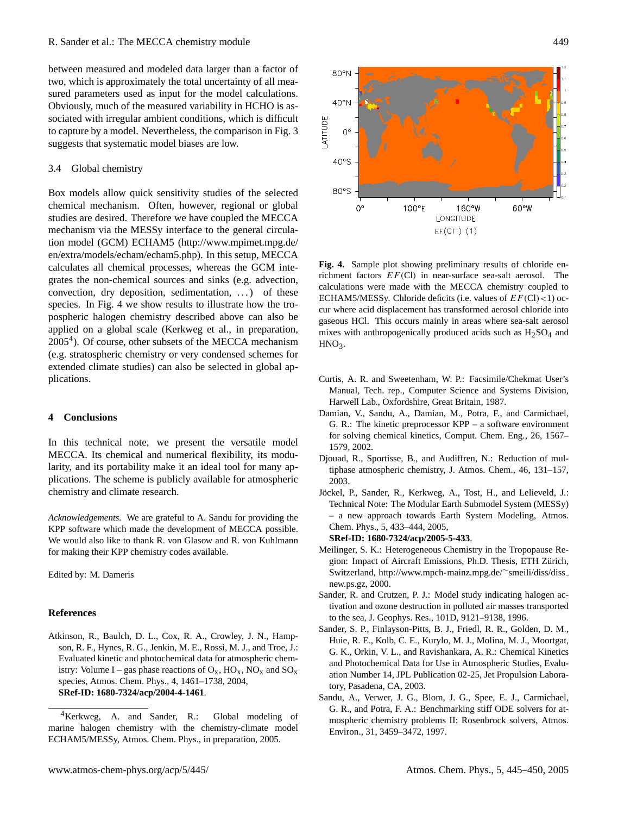between measured and modeled data larger than a factor of two, which is approximately the total uncertainty of all measured parameters used as input for the model calculations. Obviously, much of the measured variability in HCHO is associated with irregular ambient conditions, which is difficult to capture by a model. Nevertheless, the comparison in Fig. [3](#page-3-4) suggests that systematic model biases are low.

#### 3.4 Global chemistry

Box models allow quick sensitivity studies of the selected chemical mechanism. Often, however, regional or global studies are desired. Therefore we have coupled the MECCA mechanism via the MESSy interface to the general circulation model (GCM) ECHAM5 [\(http://www.mpimet.mpg.de/](http://www.mpimet.mpg.de/en/extra/models/echam/echam5.php) [en/extra/models/echam/echam5.php\)](http://www.mpimet.mpg.de/en/extra/models/echam/echam5.php). In this setup, MECCA calculates all chemical processes, whereas the GCM integrates the non-chemical sources and sinks (e.g. advection, convection, dry deposition, sedimentation, . . . ) of these species. In Fig. [4](#page-4-9) we show results to illustrate how the tropospheric halogen chemistry described above can also be applied on a global scale (Kerkweg et al., in preparation,  $2005<sup>4</sup>$  $2005<sup>4</sup>$  $2005<sup>4</sup>$ ). Of course, other subsets of the MECCA mechanism (e.g. stratospheric chemistry or very condensed schemes for extended climate studies) can also be selected in global applications.

#### **4 Conclusions**

In this technical note, we present the versatile model MECCA. Its chemical and numerical flexibility, its modularity, and its portability make it an ideal tool for many applications. The scheme is publicly available for atmospheric chemistry and climate research.

*Acknowledgements.* We are grateful to A. Sandu for providing the KPP software which made the development of MECCA possible. We would also like to thank R. von Glasow and R. von Kuhlmann for making their KPP chemistry codes available.

Edited by: M. Dameris

#### **References**

<span id="page-4-3"></span>Atkinson, R., Baulch, D. L., Cox, R. A., Crowley, J. N., Hampson, R. F., Hynes, R. G., Jenkin, M. E., Rossi, M. J., and Troe, J.: Evaluated kinetic and photochemical data for atmospheric chemistry: Volume I – gas phase reactions of  $O_x$ ,  $HO_x$ ,  $NO_x$  and  $SO_x$ species, Atmos. Chem. Phys., 4, 1461–1738, 2004, **[SRef-ID: 1680-7324/acp/2004-4-1461](http://direct.sref.org/1680-7324/acp/2004-4-1461)**.



<span id="page-4-9"></span>**Fig. 4.** Sample plot showing preliminary results of chloride enrichment factors  $EF$  (Cl) in near-surface sea-salt aerosol. The calculations were made with the MECCA chemistry coupled to ECHAM5/MESSy. Chloride deficits (i.e. values of  $EF$ (Cl)<1) occur where acid displacement has transformed aerosol chloride into gaseous HCl. This occurs mainly in areas where sea-salt aerosol mixes with anthropogenically produced acids such as  $H<sub>2</sub>SO<sub>4</sub>$  and  $HNO<sub>3</sub>$ .

- <span id="page-4-7"></span>Curtis, A. R. and Sweetenham, W. P.: Facsimile/Chekmat User's Manual, Tech. rep., Computer Science and Systems Division, Harwell Lab., Oxfordshire, Great Britain, 1987.
- <span id="page-4-4"></span>Damian, V., Sandu, A., Damian, M., Potra, F., and Carmichael, G. R.: The kinetic preprocessor KPP – a software environment for solving chemical kinetics, Comput. Chem. Eng., 26, 1567– 1579, 2002.
- <span id="page-4-6"></span>Djouad, R., Sportisse, B., and Audiffren, N.: Reduction of multiphase atmospheric chemistry, J. Atmos. Chem., 46, 131–157, 2003.
- <span id="page-4-8"></span>Jockel, P., Sander, R., Kerkweg, A., Tost, H., and Lelieveld, J.: ¨ Technical Note: The Modular Earth Submodel System (MESSy) – a new approach towards Earth System Modeling, Atmos. Chem. Phys., 5, 433–444, 2005,

**[SRef-ID: 1680-7324/acp/2005-5-433](http://direct.sref.org/1680-7324/acp/2005-5-433)**.

- <span id="page-4-0"></span>Meilinger, S. K.: Heterogeneous Chemistry in the Tropopause Region: Impact of Aircraft Emissions, Ph.D. Thesis, ETH Zürich, Switzerland, [http://www.mpch-mainz.mpg.de/](http://www.mpch-mainz.mpg.de/~smeili/diss/diss_new.ps.gz)∼smeili/diss/diss [new.ps.gz,](http://www.mpch-mainz.mpg.de/~smeili/diss/diss_new.ps.gz) 2000.
- <span id="page-4-1"></span>Sander, R. and Crutzen, P. J.: Model study indicating halogen activation and ozone destruction in polluted air masses transported to the sea, J. Geophys. Res., 101D, 9121–9138, 1996.
- <span id="page-4-2"></span>Sander, S. P., Finlayson-Pitts, B. J., Friedl, R. R., Golden, D. M., Huie, R. E., Kolb, C. E., Kurylo, M. J., Molina, M. J., Moortgat, G. K., Orkin, V. L., and Ravishankara, A. R.: Chemical Kinetics and Photochemical Data for Use in Atmospheric Studies, Evaluation Number 14, JPL Publication 02-25, Jet Propulsion Laboratory, Pasadena, CA, 2003.
- <span id="page-4-5"></span>Sandu, A., Verwer, J. G., Blom, J. G., Spee, E. J., Carmichael, G. R., and Potra, F. A.: Benchmarking stiff ODE solvers for atmospheric chemistry problems II: Rosenbrock solvers, Atmos. Environ., 31, 3459–3472, 1997.

<span id="page-4-10"></span><sup>4</sup>Kerkweg, A. and Sander, R.: Global modeling of marine halogen chemistry with the chemistry-climate model ECHAM5/MESSy, Atmos. Chem. Phys., in preparation, 2005.